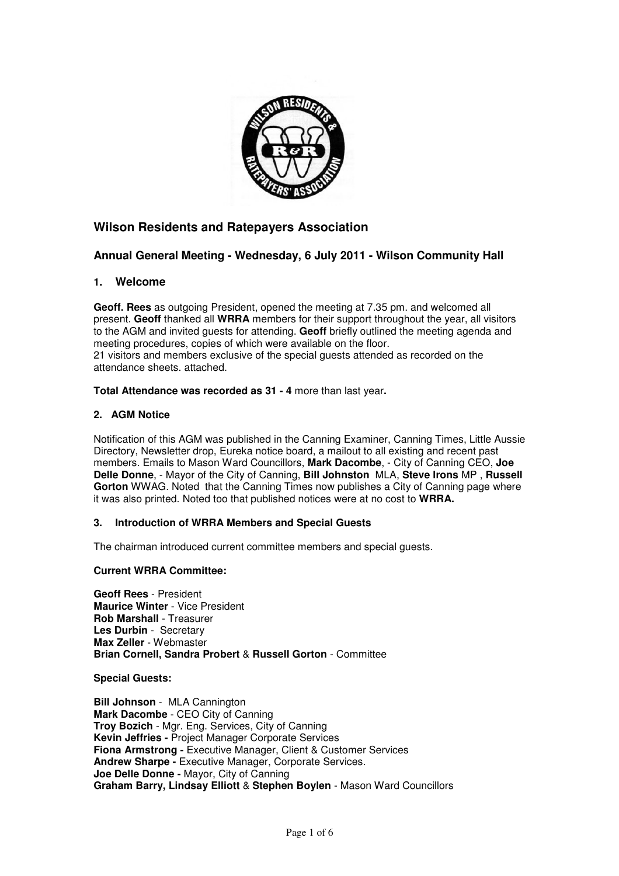

# **Wilson Residents and Ratepayers Association**

## **Annual General Meeting - Wednesday, 6 July 2011 - Wilson Community Hall**

## **1. Welcome**

**Geoff. Rees** as outgoing President, opened the meeting at 7.35 pm. and welcomed all present. **Geoff** thanked all **WRRA** members for their support throughout the year, all visitors to the AGM and invited guests for attending. **Geoff** briefly outlined the meeting agenda and meeting procedures, copies of which were available on the floor. 21 visitors and members exclusive of the special guests attended as recorded on the attendance sheets. attached.

### **Total Attendance was recorded as 31 - 4** more than last year**.**

### **2. AGM Notice**

Notification of this AGM was published in the Canning Examiner, Canning Times, Little Aussie Directory, Newsletter drop, Eureka notice board, a mailout to all existing and recent past members. Emails to Mason Ward Councillors, **Mark Dacombe**, - City of Canning CEO, **Joe Delle Donne**, - Mayor of the City of Canning, **Bill Johnston** MLA, **Steve Irons** MP , **Russell Gorton** WWAG. Noted that the Canning Times now publishes a City of Canning page where it was also printed. Noted too that published notices were at no cost to **WRRA.** 

### **3. Introduction of WRRA Members and Special Guests**

The chairman introduced current committee members and special guests.

### **Current WRRA Committee:**

**Geoff Rees** - President **Maurice Winter** - Vice President **Rob Marshall** - Treasurer **Les Durbin** - Secretary **Max Zeller** - Webmaster **Brian Cornell, Sandra Probert** & **Russell Gorton** - Committee

**Special Guests:** 

**Bill Johnson** - MLA Cannington **Mark Dacombe** - CEO City of Canning **Troy Bozich** - Mgr. Eng. Services, City of Canning **Kevin Jeffries -** Project Manager Corporate Services **Fiona Armstrong -** Executive Manager, Client & Customer Services **Andrew Sharpe -** Executive Manager, Corporate Services. **Joe Delle Donne -** Mayor, City of Canning **Graham Barry, Lindsay Elliott** & **Stephen Boylen** - Mason Ward Councillors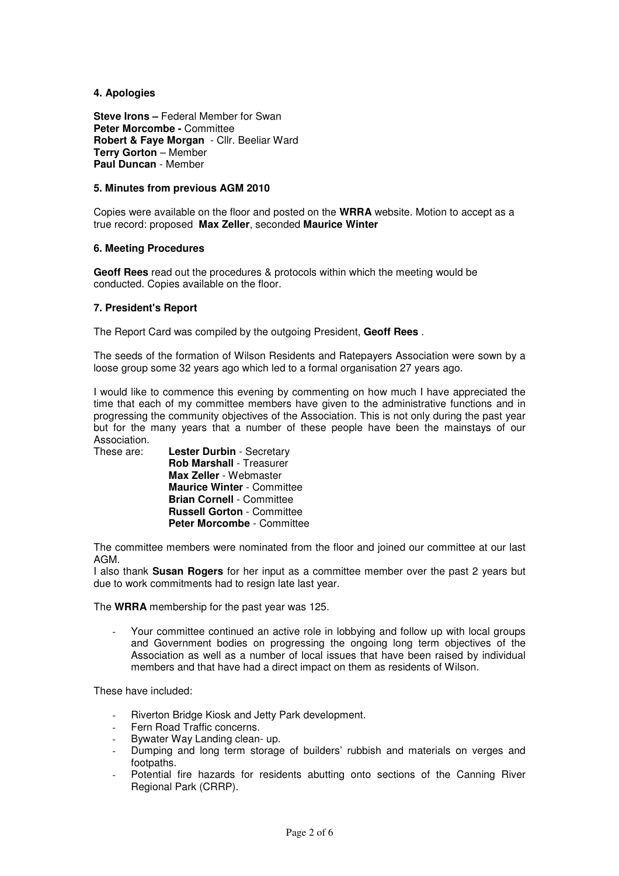### **4. Apologies**

**Steve Irons – Federal Member for Swan Peter Morcombe -** Committee **Robert & Faye Morgan** - Cllr. Beeliar Ward **Terry Gorton** – Member **Paul Duncan** - Member

### **5. Minutes from previous AGM 2010**

Copies were available on the floor and posted on the **WRRA** website. Motion to accept as a true record: proposed **Max Zeller**, seconded **Maurice Winter**

#### **6. Meeting Procedures**

**Geoff Rees** read out the procedures & protocols within which the meeting would be conducted. Copies available on the floor.

#### **7. President's Report**

The Report Card was compiled by the outgoing President, **Geoff Rees** .

The seeds of the formation of Wilson Residents and Ratepayers Association were sown by a loose group some 32 years ago which led to a formal organisation 27 years ago.

I would like to commence this evening by commenting on how much I have appreciated the time that each of my committee members have given to the administrative functions and in progressing the community objectives of the Association. This is not only during the past year but for the many years that a number of these people have been the mainstays of our Association.

These are: **Lester Durbin** - Secretary **Rob Marshall** - Treasurer **Max Zeller** - Webmaster **Maurice Winter** - Committee **Brian Cornell** - Committee **Russell Gorton** - Committee **Peter Morcombe** - Committee

The committee members were nominated from the floor and joined our committee at our last AGM.

I also thank **Susan Rogers** for her input as a committee member over the past 2 years but due to work commitments had to resign late last year.

The **WRRA** membership for the past year was 125.

Your committee continued an active role in lobbying and follow up with local groups and Government bodies on progressing the ongoing long term objectives of the Association as well as a number of local issues that have been raised by individual members and that have had a direct impact on them as residents of Wilson.

These have included:

- Riverton Bridge Kiosk and Jetty Park development.
- Fern Road Traffic concerns.
- Bywater Way Landing clean- up.
- Dumping and long term storage of builders' rubbish and materials on verges and footpaths.
- Potential fire hazards for residents abutting onto sections of the Canning River Regional Park (CRRP).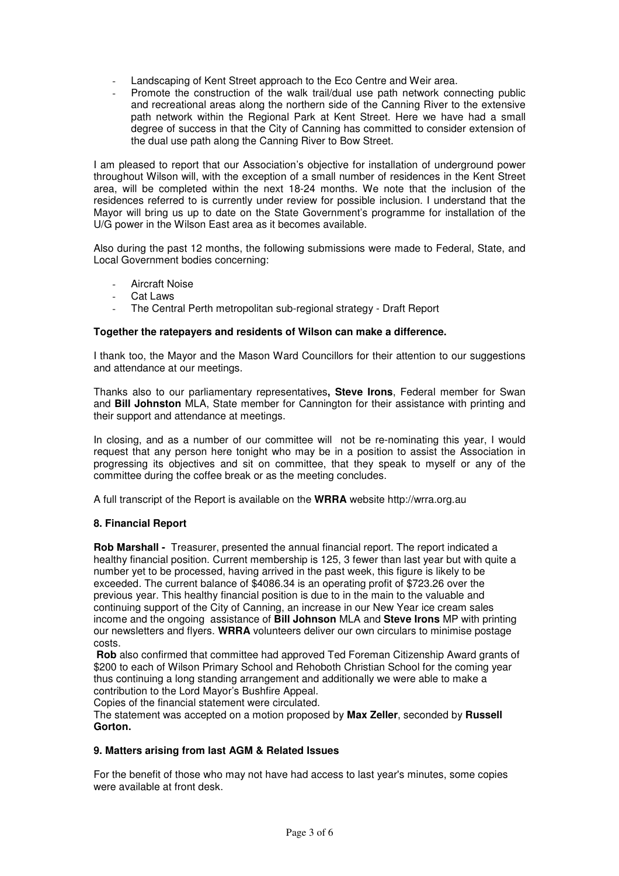- Landscaping of Kent Street approach to the Eco Centre and Weir area.
- Promote the construction of the walk trail/dual use path network connecting public and recreational areas along the northern side of the Canning River to the extensive path network within the Regional Park at Kent Street. Here we have had a small degree of success in that the City of Canning has committed to consider extension of the dual use path along the Canning River to Bow Street.

I am pleased to report that our Association's objective for installation of underground power throughout Wilson will, with the exception of a small number of residences in the Kent Street area, will be completed within the next 18-24 months. We note that the inclusion of the residences referred to is currently under review for possible inclusion. I understand that the Mayor will bring us up to date on the State Government's programme for installation of the U/G power in the Wilson East area as it becomes available.

Also during the past 12 months, the following submissions were made to Federal, State, and Local Government bodies concerning:

- Aircraft Noise
- Cat Laws
- The Central Perth metropolitan sub-regional strategy Draft Report

#### **Together the ratepayers and residents of Wilson can make a difference.**

I thank too, the Mayor and the Mason Ward Councillors for their attention to our suggestions and attendance at our meetings.

Thanks also to our parliamentary representatives**, Steve Irons**, Federal member for Swan and **Bill Johnston** MLA, State member for Cannington for their assistance with printing and their support and attendance at meetings.

In closing, and as a number of our committee will not be re-nominating this year, I would request that any person here tonight who may be in a position to assist the Association in progressing its objectives and sit on committee, that they speak to myself or any of the committee during the coffee break or as the meeting concludes.

A full transcript of the Report is available on the **WRRA** website http://wrra.org.au

### **8. Financial Report**

**Rob Marshall -** Treasurer, presented the annual financial report. The report indicated a healthy financial position. Current membership is 125, 3 fewer than last year but with quite a number yet to be processed, having arrived in the past week, this figure is likely to be exceeded. The current balance of \$4086.34 is an operating profit of \$723.26 over the previous year. This healthy financial position is due to in the main to the valuable and continuing support of the City of Canning, an increase in our New Year ice cream sales income and the ongoing assistance of **Bill Johnson** MLA and **Steve Irons** MP with printing our newsletters and flyers. **WRRA** volunteers deliver our own circulars to minimise postage costs.

**Rob** also confirmed that committee had approved Ted Foreman Citizenship Award grants of \$200 to each of Wilson Primary School and Rehoboth Christian School for the coming year thus continuing a long standing arrangement and additionally we were able to make a contribution to the Lord Mayor's Bushfire Appeal.

Copies of the financial statement were circulated.

The statement was accepted on a motion proposed by **Max Zeller**, seconded by **Russell Gorton.**

#### **9. Matters arising from last AGM & Related Issues**

For the benefit of those who may not have had access to last year's minutes, some copies were available at front desk.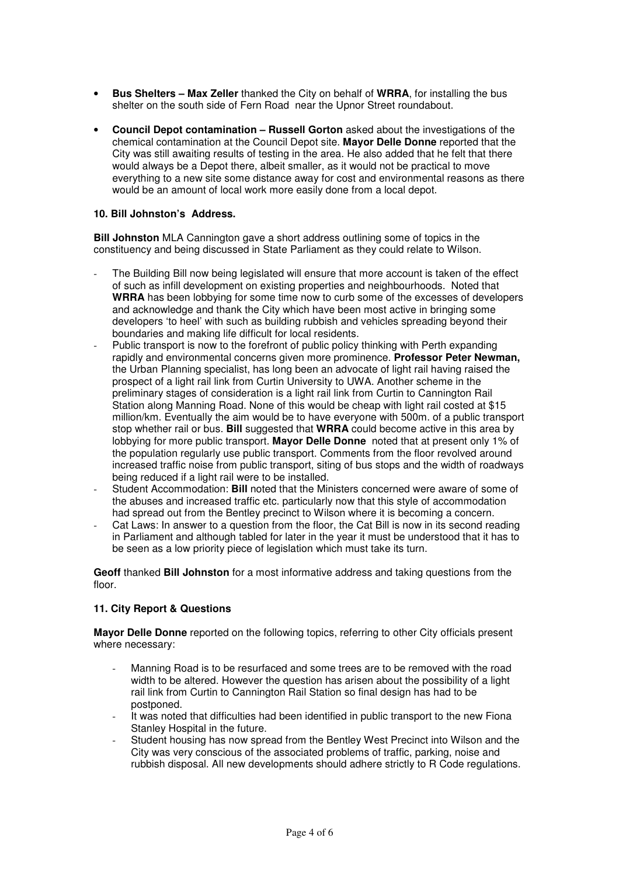- **Bus Shelters Max Zeller** thanked the City on behalf of **WRRA**, for installing the bus shelter on the south side of Fern Road near the Upnor Street roundabout.
- **Council Depot contamination Russell Gorton** asked about the investigations of the chemical contamination at the Council Depot site. **Mayor Delle Donne** reported that the City was still awaiting results of testing in the area. He also added that he felt that there would always be a Depot there, albeit smaller, as it would not be practical to move everything to a new site some distance away for cost and environmental reasons as there would be an amount of local work more easily done from a local depot.

### **10. Bill Johnston's Address.**

**Bill Johnston** MLA Cannington gave a short address outlining some of topics in the constituency and being discussed in State Parliament as they could relate to Wilson.

- The Building Bill now being legislated will ensure that more account is taken of the effect of such as infill development on existing properties and neighbourhoods. Noted that **WRRA** has been lobbying for some time now to curb some of the excesses of developers and acknowledge and thank the City which have been most active in bringing some developers 'to heel' with such as building rubbish and vehicles spreading beyond their boundaries and making life difficult for local residents.
- Public transport is now to the forefront of public policy thinking with Perth expanding rapidly and environmental concerns given more prominence. **Professor Peter Newman,**  the Urban Planning specialist, has long been an advocate of light rail having raised the prospect of a light rail link from Curtin University to UWA. Another scheme in the preliminary stages of consideration is a light rail link from Curtin to Cannington Rail Station along Manning Road. None of this would be cheap with light rail costed at \$15 million/km. Eventually the aim would be to have everyone with 500m. of a public transport stop whether rail or bus. **Bill** suggested that **WRRA** could become active in this area by lobbying for more public transport. **Mayor Delle Donne** noted that at present only 1% of the population regularly use public transport. Comments from the floor revolved around increased traffic noise from public transport, siting of bus stops and the width of roadways being reduced if a light rail were to be installed.
- Student Accommodation: **Bill** noted that the Ministers concerned were aware of some of the abuses and increased traffic etc. particularly now that this style of accommodation had spread out from the Bentley precinct to Wilson where it is becoming a concern.
- Cat Laws: In answer to a question from the floor, the Cat Bill is now in its second reading in Parliament and although tabled for later in the year it must be understood that it has to be seen as a low priority piece of legislation which must take its turn.

**Geoff** thanked **Bill Johnston** for a most informative address and taking questions from the floor.

## **11. City Report & Questions**

**Mayor Delle Donne** reported on the following topics, referring to other City officials present where necessary:

- Manning Road is to be resurfaced and some trees are to be removed with the road width to be altered. However the question has arisen about the possibility of a light rail link from Curtin to Cannington Rail Station so final design has had to be postponed.
- It was noted that difficulties had been identified in public transport to the new Fiona Stanley Hospital in the future.
- Student housing has now spread from the Bentley West Precinct into Wilson and the City was very conscious of the associated problems of traffic, parking, noise and rubbish disposal. All new developments should adhere strictly to R Code regulations.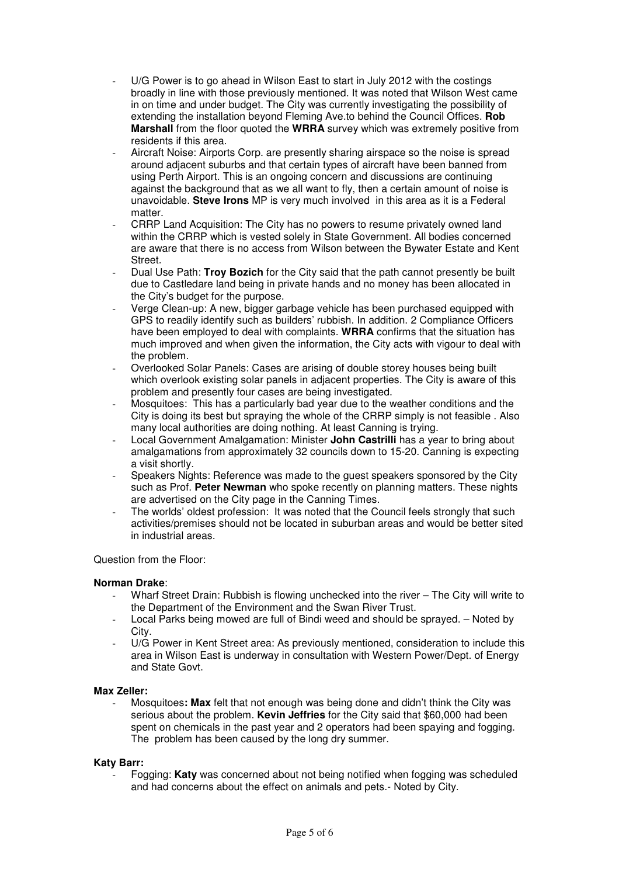- U/G Power is to go ahead in Wilson East to start in July 2012 with the costings broadly in line with those previously mentioned. It was noted that Wilson West came in on time and under budget. The City was currently investigating the possibility of extending the installation beyond Fleming Ave.to behind the Council Offices. **Rob Marshall** from the floor quoted the **WRRA** survey which was extremely positive from residents if this area.
- Aircraft Noise: Airports Corp. are presently sharing airspace so the noise is spread around adjacent suburbs and that certain types of aircraft have been banned from using Perth Airport. This is an ongoing concern and discussions are continuing against the background that as we all want to fly, then a certain amount of noise is unavoidable. **Steve Irons** MP is very much involved in this area as it is a Federal matter
- CRRP Land Acquisition: The City has no powers to resume privately owned land within the CRRP which is vested solely in State Government. All bodies concerned are aware that there is no access from Wilson between the Bywater Estate and Kent Street.
- Dual Use Path: **Troy Bozich** for the City said that the path cannot presently be built due to Castledare land being in private hands and no money has been allocated in the City's budget for the purpose.
- Verge Clean-up: A new, bigger garbage vehicle has been purchased equipped with GPS to readily identify such as builders' rubbish. In addition. 2 Compliance Officers have been employed to deal with complaints. **WRRA** confirms that the situation has much improved and when given the information, the City acts with vigour to deal with the problem.
- Overlooked Solar Panels: Cases are arising of double storey houses being built which overlook existing solar panels in adjacent properties. The City is aware of this problem and presently four cases are being investigated.
- Mosquitoes: This has a particularly bad year due to the weather conditions and the City is doing its best but spraying the whole of the CRRP simply is not feasible . Also many local authorities are doing nothing. At least Canning is trying.
- Local Government Amalgamation: Minister **John Castrilli** has a year to bring about amalgamations from approximately 32 councils down to 15-20. Canning is expecting a visit shortly.
- Speakers Nights: Reference was made to the guest speakers sponsored by the City such as Prof. **Peter Newman** who spoke recently on planning matters. These nights are advertised on the City page in the Canning Times.
- The worlds' oldest profession: It was noted that the Council feels strongly that such activities/premises should not be located in suburban areas and would be better sited in industrial areas.

### Question from the Floor:

### **Norman Drake**:

- Wharf Street Drain: Rubbish is flowing unchecked into the river The City will write to the Department of the Environment and the Swan River Trust.
- Local Parks being mowed are full of Bindi weed and should be sprayed. Noted by City.
- U/G Power in Kent Street area: As previously mentioned, consideration to include this area in Wilson East is underway in consultation with Western Power/Dept. of Energy and State Govt.

### **Max Zeller:**

Mosquitoes: Max felt that not enough was being done and didn't think the City was serious about the problem. **Kevin Jeffries** for the City said that \$60,000 had been spent on chemicals in the past year and 2 operators had been spaying and fogging. The problem has been caused by the long dry summer.

### **Katy Barr:**

- Fogging: **Katy** was concerned about not being notified when fogging was scheduled and had concerns about the effect on animals and pets.- Noted by City.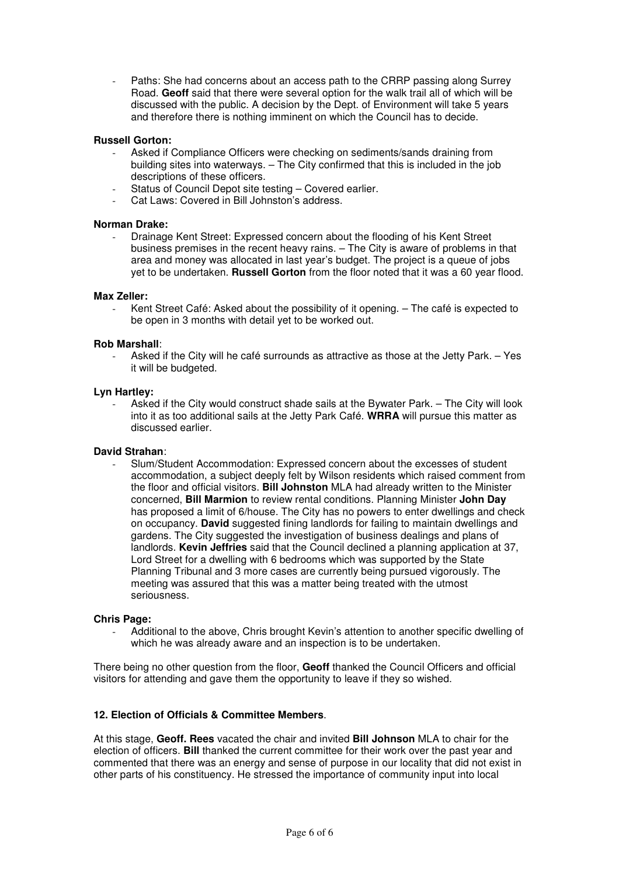Paths: She had concerns about an access path to the CRRP passing along Surrey Road. **Geoff** said that there were several option for the walk trail all of which will be discussed with the public. A decision by the Dept. of Environment will take 5 years and therefore there is nothing imminent on which the Council has to decide.

### **Russell Gorton:**

- Asked if Compliance Officers were checking on sediments/sands draining from building sites into waterways. – The City confirmed that this is included in the job descriptions of these officers.
- Status of Council Depot site testing Covered earlier.
- Cat Laws: Covered in Bill Johnston's address.

#### **Norman Drake:**

- Drainage Kent Street: Expressed concern about the flooding of his Kent Street business premises in the recent heavy rains. – The City is aware of problems in that area and money was allocated in last year's budget. The project is a queue of jobs yet to be undertaken. **Russell Gorton** from the floor noted that it was a 60 year flood.

#### **Max Zeller:**

Kent Street Café: Asked about the possibility of it opening. – The café is expected to be open in 3 months with detail yet to be worked out.

#### **Rob Marshall**:

Asked if the City will he café surrounds as attractive as those at the Jetty Park. – Yes it will be budgeted.

#### **Lyn Hartley:**

Asked if the City would construct shade sails at the Bywater Park. – The City will look into it as too additional sails at the Jetty Park Café. **WRRA** will pursue this matter as discussed earlier.

#### **David Strahan**:

- Slum/Student Accommodation: Expressed concern about the excesses of student accommodation, a subject deeply felt by Wilson residents which raised comment from the floor and official visitors. **Bill Johnston** MLA had already written to the Minister concerned, **Bill Marmion** to review rental conditions. Planning Minister **John Day** has proposed a limit of 6/house. The City has no powers to enter dwellings and check on occupancy. **David** suggested fining landlords for failing to maintain dwellings and gardens. The City suggested the investigation of business dealings and plans of landlords. **Kevin Jeffries** said that the Council declined a planning application at 37, Lord Street for a dwelling with 6 bedrooms which was supported by the State Planning Tribunal and 3 more cases are currently being pursued vigorously. The meeting was assured that this was a matter being treated with the utmost seriousness.

#### **Chris Page:**

- Additional to the above, Chris brought Kevin's attention to another specific dwelling of which he was already aware and an inspection is to be undertaken.

There being no other question from the floor, **Geoff** thanked the Council Officers and official visitors for attending and gave them the opportunity to leave if they so wished.

#### **12. Election of Officials & Committee Members**.

At this stage, **Geoff. Rees** vacated the chair and invited **Bill Johnson** MLA to chair for the election of officers. **Bill** thanked the current committee for their work over the past year and commented that there was an energy and sense of purpose in our locality that did not exist in other parts of his constituency. He stressed the importance of community input into local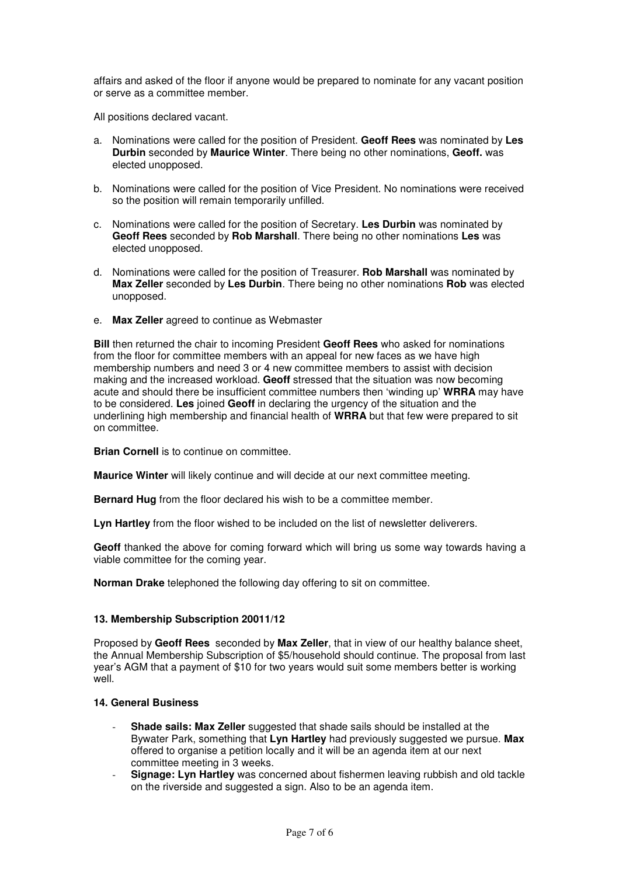affairs and asked of the floor if anyone would be prepared to nominate for any vacant position or serve as a committee member.

All positions declared vacant.

- a. Nominations were called for the position of President. **Geoff Rees** was nominated by **Les Durbin** seconded by **Maurice Winter**. There being no other nominations, **Geoff.** was elected unopposed.
- b. Nominations were called for the position of Vice President. No nominations were received so the position will remain temporarily unfilled.
- c. Nominations were called for the position of Secretary. **Les Durbin** was nominated by **Geoff Rees** seconded by **Rob Marshall**. There being no other nominations **Les** was elected unopposed.
- d. Nominations were called for the position of Treasurer. **Rob Marshall** was nominated by **Max Zeller** seconded by **Les Durbin**. There being no other nominations **Rob** was elected unopposed.
- e. **Max Zeller** agreed to continue as Webmaster

**Bill** then returned the chair to incoming President **Geoff Rees** who asked for nominations from the floor for committee members with an appeal for new faces as we have high membership numbers and need 3 or 4 new committee members to assist with decision making and the increased workload. **Geoff** stressed that the situation was now becoming acute and should there be insufficient committee numbers then 'winding up' **WRRA** may have to be considered. **Les** joined **Geoff** in declaring the urgency of the situation and the underlining high membership and financial health of **WRRA** but that few were prepared to sit on committee.

**Brian Cornell** is to continue on committee.

**Maurice Winter** will likely continue and will decide at our next committee meeting.

**Bernard Hug** from the floor declared his wish to be a committee member.

**Lyn Hartley** from the floor wished to be included on the list of newsletter deliverers.

**Geoff** thanked the above for coming forward which will bring us some way towards having a viable committee for the coming year.

**Norman Drake** telephoned the following day offering to sit on committee.

#### **13. Membership Subscription 20011/12**

Proposed by **Geoff Rees** seconded by **Max Zeller**, that in view of our healthy balance sheet, the Annual Membership Subscription of \$5/household should continue. The proposal from last year's AGM that a payment of \$10 for two years would suit some members better is working well.

### **14. General Business**

- **Shade sails: Max Zeller** suggested that shade sails should be installed at the Bywater Park, something that **Lyn Hartley** had previously suggested we pursue. **Max**  offered to organise a petition locally and it will be an agenda item at our next committee meeting in 3 weeks.
- **Signage: Lyn Hartley** was concerned about fishermen leaving rubbish and old tackle on the riverside and suggested a sign. Also to be an agenda item.